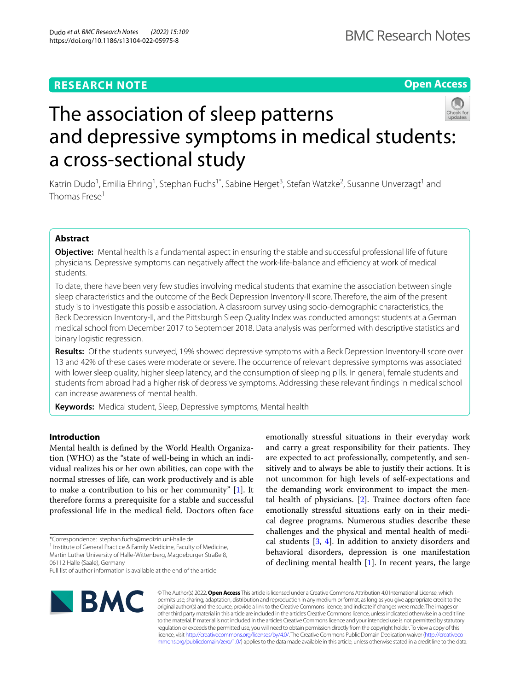# **RESEARCH NOTE**

**Open Access**



# The association of sleep patterns and depressive symptoms in medical students: a cross-sectional study

Katrin Dudo<sup>1</sup>, Emilia Ehring<sup>1</sup>, Stephan Fuchs<sup>1\*</sup>, Sabine Herget<sup>3</sup>, Stefan Watzke<sup>2</sup>, Susanne Unverzagt<sup>1</sup> and Thomas Frese<sup>1</sup>

# **Abstract**

**Objective:** Mental health is a fundamental aspect in ensuring the stable and successful professional life of future physicians. Depressive symptoms can negatively affect the work-life-balance and efficiency at work of medical students.

To date, there have been very few studies involving medical students that examine the association between single sleep characteristics and the outcome of the Beck Depression Inventory-II score. Therefore, the aim of the present study is to investigate this possible association. A classroom survey using socio-demographic characteristics, the Beck Depression Inventory-II, and the Pittsburgh Sleep Quality Index was conducted amongst students at a German medical school from December 2017 to September 2018. Data analysis was performed with descriptive statistics and binary logistic regression.

**Results:** Of the students surveyed, 19% showed depressive symptoms with a Beck Depression Inventory-II score over 13 and 42% of these cases were moderate or severe. The occurrence of relevant depressive symptoms was associated with lower sleep quality, higher sleep latency, and the consumption of sleeping pills. In general, female students and students from abroad had a higher risk of depressive symptoms. Addressing these relevant fndings in medical school can increase awareness of mental health.

**Keywords:** Medical student, Sleep, Depressive symptoms, Mental health

# **Introduction**

Mental health is defned by the World Health Organization (WHO) as the "state of well-being in which an individual realizes his or her own abilities, can cope with the normal stresses of life, can work productively and is able to make a contribution to his or her community" [\[1](#page-4-0)]. It therefore forms a prerequisite for a stable and successful professional life in the medical feld. Doctors often face

\*Correspondence: stephan.fuchs@medizin.uni-halle.de

<sup>1</sup> Institute of General Practice & Family Medicine, Faculty of Medicine, Martin Luther University of Halle-Wittenberg, Magdeburger Straße 8, 06112 Halle (Saale), Germany

Full list of author information is available at the end of the article



emotionally stressful situations in their everyday work and carry a great responsibility for their patients. They are expected to act professionally, competently, and sensitively and to always be able to justify their actions. It is not uncommon for high levels of self-expectations and the demanding work environment to impact the mental health of physicians. [[2\]](#page-4-1). Trainee doctors often face emotionally stressful situations early on in their medical degree programs. Numerous studies describe these challenges and the physical and mental health of medical students  $[3, 4]$  $[3, 4]$  $[3, 4]$  $[3, 4]$ . In addition to anxiety disorders and behavioral disorders, depression is one manifestation of declining mental health [[1\]](#page-4-0). In recent years, the large

© The Author(s) 2022. **Open Access** This article is licensed under a Creative Commons Attribution 4.0 International License, which permits use, sharing, adaptation, distribution and reproduction in any medium or format, as long as you give appropriate credit to the original author(s) and the source, provide a link to the Creative Commons licence, and indicate if changes were made. The images or other third party material in this article are included in the article's Creative Commons licence, unless indicated otherwise in a credit line to the material. If material is not included in the article's Creative Commons licence and your intended use is not permitted by statutory regulation or exceeds the permitted use, you will need to obtain permission directly from the copyright holder. To view a copy of this licence, visit [http://creativecommons.org/licenses/by/4.0/.](http://creativecommons.org/licenses/by/4.0/) The Creative Commons Public Domain Dedication waiver ([http://creativeco](http://creativecommons.org/publicdomain/zero/1.0/) [mmons.org/publicdomain/zero/1.0/](http://creativecommons.org/publicdomain/zero/1.0/)) applies to the data made available in this article, unless otherwise stated in a credit line to the data.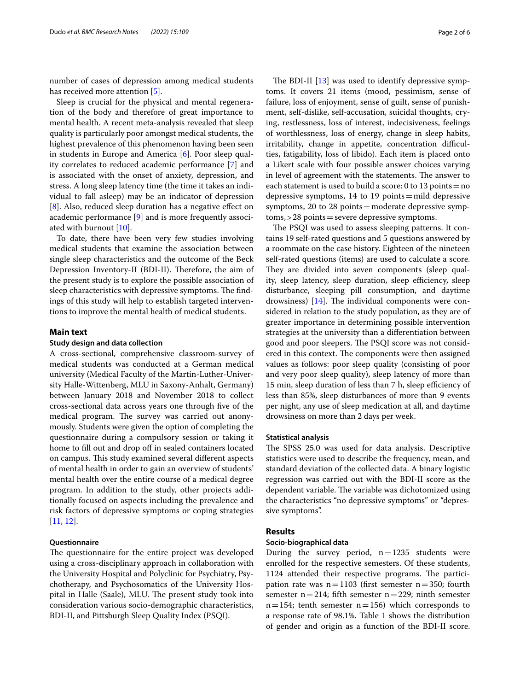number of cases of depression among medical students has received more attention [[5\]](#page-4-4).

Sleep is crucial for the physical and mental regeneration of the body and therefore of great importance to mental health. A recent meta-analysis revealed that sleep quality is particularly poor amongst medical students, the highest prevalence of this phenomenon having been seen in students in Europe and America [\[6](#page-4-5)]. Poor sleep quality correlates to reduced academic performance [[7\]](#page-4-6) and is associated with the onset of anxiety, depression, and stress. A long sleep latency time (the time it takes an individual to fall asleep) may be an indicator of depression [[8\]](#page-4-7). Also, reduced sleep duration has a negative effect on academic performance [\[9\]](#page-4-8) and is more frequently associated with burnout [[10\]](#page-4-9).

To date, there have been very few studies involving medical students that examine the association between single sleep characteristics and the outcome of the Beck Depression Inventory-II (BDI-II). Therefore, the aim of the present study is to explore the possible association of sleep characteristics with depressive symptoms. The findings of this study will help to establish targeted interventions to improve the mental health of medical students.

# **Main text**

#### **Study design and data collection**

A cross-sectional, comprehensive classroom-survey of medical students was conducted at a German medical university (Medical Faculty of the Martin-Luther-University Halle-Wittenberg, MLU in Saxony-Anhalt, Germany) between January 2018 and November 2018 to collect cross-sectional data across years one through fve of the medical program. The survey was carried out anonymously. Students were given the option of completing the questionnaire during a compulsory session or taking it home to fill out and drop off in sealed containers located on campus. This study examined several different aspects of mental health in order to gain an overview of students' mental health over the entire course of a medical degree program. In addition to the study, other projects additionally focused on aspects including the prevalence and risk factors of depressive symptoms or coping strategies [[11,](#page-4-10) [12](#page-4-11)].

# **Questionnaire**

The questionnaire for the entire project was developed using a cross-disciplinary approach in collaboration with the University Hospital and Polyclinic for Psychiatry, Psychotherapy, and Psychosomatics of the University Hospital in Halle (Saale), MLU. The present study took into consideration various socio-demographic characteristics, BDI-II, and Pittsburgh Sleep Quality Index (PSQI).

The BDI-II  $[13]$  $[13]$  was used to identify depressive symptoms. It covers 21 items (mood, pessimism, sense of failure, loss of enjoyment, sense of guilt, sense of punishment, self-dislike, self-accusation, suicidal thoughts, crying, restlessness, loss of interest, indecisiveness, feelings of worthlessness, loss of energy, change in sleep habits, irritability, change in appetite, concentration difficulties, fatigability, loss of libido). Each item is placed onto a Likert scale with four possible answer choices varying in level of agreement with the statements. The answer to each statement is used to build a score: 0 to 13 points = no depressive symptoms, 14 to 19 points=mild depressive symptoms, 20 to 28 points=moderate depressive symptoms,>28 points=severe depressive symptoms.

The PSQI was used to assess sleeping patterns. It contains 19 self-rated questions and 5 questions answered by a roommate on the case history. Eighteen of the nineteen self-rated questions (items) are used to calculate a score. They are divided into seven components (sleep quality, sleep latency, sleep duration, sleep efficiency, sleep disturbance, sleeping pill consumption, and daytime drowsiness)  $[14]$  $[14]$ . The individual components were considered in relation to the study population, as they are of greater importance in determining possible intervention strategies at the university than a diferentiation between good and poor sleepers. The PSQI score was not considered in this context. The components were then assigned values as follows: poor sleep quality (consisting of poor and very poor sleep quality), sleep latency of more than 15 min, sleep duration of less than 7 h, sleep efficiency of less than 85%, sleep disturbances of more than 9 events per night, any use of sleep medication at all, and daytime drowsiness on more than 2 days per week.

#### **Statistical analysis**

The SPSS 25.0 was used for data analysis. Descriptive statistics were used to describe the frequency, mean, and standard deviation of the collected data. A binary logistic regression was carried out with the BDI-II score as the dependent variable. The variable was dichotomized using the characteristics "no depressive symptoms" or "depressive symptoms".

#### **Results**

#### **Socio‑biographical data**

During the survey period,  $n=1235$  students were enrolled for the respective semesters. Of these students, 1124 attended their respective programs. The participation rate was  $n=1103$  (first semester  $n=350$ ; fourth semester  $n=214$ ; fifth semester  $n=229$ ; ninth semester  $n=154$ ; tenth semester  $n=156$ ) which corresponds to a response rate of 98.1%. Table [1](#page-2-0) shows the distribution of gender and origin as a function of the BDI-II score.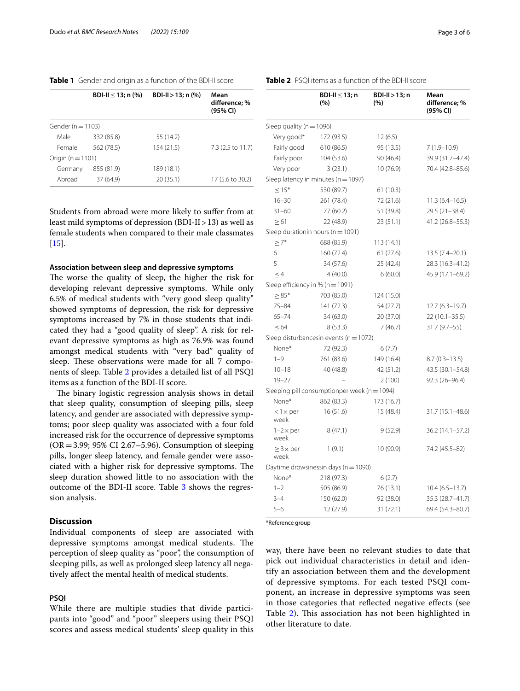<span id="page-2-0"></span>

| Table 1 Gender and origin as a function of the BDI-II score |  |
|-------------------------------------------------------------|--|
|-------------------------------------------------------------|--|

|                       | BDI-II $<$ 13; n $\left(\% \right)$ | BDI-II > 13; n $(\% )$ | Mean<br>difference; %<br>(95% CI) |  |  |
|-----------------------|-------------------------------------|------------------------|-----------------------------------|--|--|
| Gender ( $n = 1103$ ) |                                     |                        |                                   |  |  |
| Male                  | 332 (85.8)                          | 55 (14.2)              |                                   |  |  |
| Female                | 562 (78.5)                          | 154 (21.5)             | 7.3 (2.5 to 11.7)                 |  |  |
| Origin ( $n = 1101$ ) |                                     |                        |                                   |  |  |
| Germany               | 855 (81.9)                          | 189 (18.1)             |                                   |  |  |
| Abroad                | 37 (64.9)                           | 20(35.1)               | 17 (5.6 to 30.2)                  |  |  |

Students from abroad were more likely to sufer from at least mild symptoms of depression (BDI-II>13) as well as female students when compared to their male classmates  $[15]$  $[15]$ .

# **Association between sleep and depressive symptoms**

The worse the quality of sleep, the higher the risk for developing relevant depressive symptoms. While only 6.5% of medical students with "very good sleep quality" showed symptoms of depression, the risk for depressive symptoms increased by 7% in those students that indicated they had a "good quality of sleep". A risk for relevant depressive symptoms as high as 76.9% was found amongst medical students with "very bad" quality of sleep. These observations were made for all 7 components of sleep. Table [2](#page-2-1) provides a detailed list of all PSQI items as a function of the BDI-II score.

The binary logistic regression analysis shows in detail that sleep quality, consumption of sleeping pills, sleep latency, and gender are associated with depressive symptoms; poor sleep quality was associated with a four fold increased risk for the occurrence of depressive symptoms  $(OR = 3.99; 95\% \text{ CI } 2.67 - 5.96)$ . Consumption of sleeping pills, longer sleep latency, and female gender were associated with a higher risk for depressive symptoms. The sleep duration showed little to no association with the outcome of the BDI-II score. Table [3](#page-3-0) shows the regression analysis.

# **Discussion**

Individual components of sleep are associated with depressive symptoms amongst medical students. The perception of sleep quality as "poor", the consumption of sleeping pills, as well as prolonged sleep latency all negatively afect the mental health of medical students.

# **PSQI**

While there are multiple studies that divide participants into "good" and "poor" sleepers using their PSQI scores and assess medical students' sleep quality in this <span id="page-2-1"></span>**Table 2** PSQI items as a function of the BDI-II score

|                                    | BDI-II $\leq$ 13; n<br>(%)                   | $BDI-II > 13; n$<br>(%) | Mean<br>difference; %<br>(95% CI) |
|------------------------------------|----------------------------------------------|-------------------------|-----------------------------------|
| Sleep quality ( $n = 1096$ )       |                                              |                         |                                   |
| Very good*                         | 172 (93.5)                                   | 12(6.5)                 |                                   |
| Fairly good                        | 610 (86.5)                                   | 95 (13.5)               | $7(1.9 - 10.9)$                   |
| Fairly poor                        | 104 (53.6)                                   | 90 (46.4)               | 39.9 (31.7-47.4)                  |
| Very poor                          | 3(23.1)                                      | 10 (76.9)               | 70.4 (42.8-85.6)                  |
|                                    | Sleep latency in minutes ( $n = 1097$ )      |                         |                                   |
| $\leq$ 15*                         | 530 (89.7)                                   | 61(10.3)                |                                   |
| $16 - 30$                          | 261 (78.4)                                   | 72 (21.6)               | $11.3(6.4 - 16.5)$                |
| $31 - 60$                          | 77 (60.2)                                    | 51 (39.8)               | $29.5(21-38.4)$                   |
| $\geq 61$                          | 22 (48.9)                                    | 23(51.1)                | 41.2 (26.8-55.3)                  |
|                                    | Sleep durationin hours ( $n = 1091$ )        |                         |                                   |
| $\geq 7^*$                         | 688 (85.9)                                   | 113 (14.1)              |                                   |
| 6                                  | 160 (72.4)                                   | 61(27.6)                | $13.5(7.4 - 20.1)$                |
| 5                                  | 34 (57.6)                                    | 25(42.4)                | 28.3 (16.3-41.2)                  |
| $\leq 4$                           | 4(40.0)                                      | 6(60.0)                 | 45.9 (17.1-69.2)                  |
| Sleep efficiency in $% (n = 1091)$ |                                              |                         |                                   |
| $\geq 85*$                         | 703 (85.0)                                   | 124 (15.0)              |                                   |
| $75 - 84$                          | 141 (72.3)                                   | 54 (27.7)               | $12.7(6.3-19.7)$                  |
| $65 - 74$                          | 34(63.0)                                     | 20 (37.0)               | $22(10.1 - 35.5)$                 |
| $\leq 64$                          | 8(53.3)                                      | 7(46.7)                 | $31.7(9.7-55)$                    |
|                                    | Sleep disturbancesin events ( $n = 1072$ )   |                         |                                   |
| None*                              | 72 (92.3)                                    | 6(7.7)                  |                                   |
| $1 - 9$                            | 761 (83.6)                                   | 149 (16.4)              | $8.7(0.3 - 13.5)$                 |
| $10 - 18$                          | 40 (48.8)                                    | 42 (51.2)               | 43.5 (30.1-54.8)                  |
| $19 - 27$                          |                                              | 2(100)                  | 92.3 (26-96.4)                    |
|                                    | Sleeping pill consumptionper week (n = 1094) |                         |                                   |
| None*                              | 862 (83.3)                                   | 173 (16.7)              |                                   |
| $< 1 \times per$<br>week           | 16(51.6)                                     | 15 (48.4)               | 31.7 (15.1-48.6)                  |
| $1-2 \times per$<br>week           | 8(47.1)                                      | 9(52.9)                 | $36.2(14.1 - 57.2)$               |
| $\geq$ 3 $\times$ per<br>week      | 1(9.1)                                       | 10 (90.9)               | 74.2 (45.5-82)                    |
|                                    | Daytime drowsinessin days ( $n = 1090$ )     |                         |                                   |
| None*                              | 218 (97.3)                                   | 6(2.7)                  |                                   |
| $1 - 2$                            | 505 (86.9)                                   | 76 (13.1)               | $10.4(6.5-13.7)$                  |
| $3 - 4$                            | 150 (62.0)                                   | 92 (38.0)               | 35.3 (28.7-41.7)                  |
| $5 - 6$                            | 12 (27.9)                                    | 31 (72.1)               | 69.4 (54.3-80.7)                  |

\*Reference group

way, there have been no relevant studies to date that pick out individual characteristics in detail and identify an association between them and the development of depressive symptoms. For each tested PSQI component, an increase in depressive symptoms was seen in those categories that refected negative efects (see Table [2](#page-2-1)). This association has not been highlighted in other literature to date.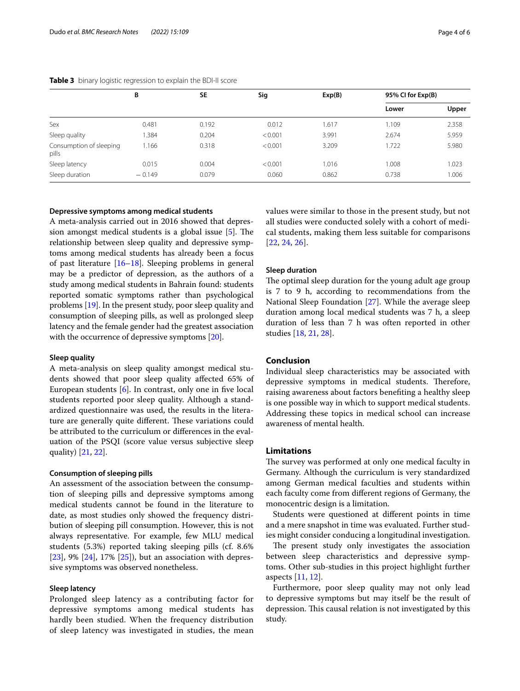<span id="page-3-0"></span>

|                                  | В        | <b>SE</b> | Sig     | Exp(B) | 95% CI for Exp(B) |       |
|----------------------------------|----------|-----------|---------|--------|-------------------|-------|
|                                  |          |           |         |        | Lower             | Upper |
| Sex                              | 0.481    | 0.192     | 0.012   | 1.617  | 1.109             | 2.358 |
| Sleep quality                    | 1.384    | 0.204     | < 0.001 | 3.991  | 2.674             | 5.959 |
| Consumption of sleeping<br>pills | 1.166    | 0.318     | < 0.001 | 3.209  | 1.722             | 5.980 |
| Sleep latency                    | 0.015    | 0.004     | < 0.001 | 1.016  | 1.008             | 1.023 |
| Sleep duration                   | $-0.149$ | 0.079     | 0.060   | 0.862  | 0.738             | 1.006 |

#### **Depressive symptoms among medical students**

A meta-analysis carried out in 2016 showed that depression amongst medical students is a global issue  $[5]$  $[5]$ . The relationship between sleep quality and depressive symptoms among medical students has already been a focus of past literature [[16](#page-4-15)[–18](#page-4-16)]. Sleeping problems in general may be a predictor of depression, as the authors of a study among medical students in Bahrain found: students reported somatic symptoms rather than psychological problems [\[19\]](#page-4-17). In the present study, poor sleep quality and consumption of sleeping pills, as well as prolonged sleep latency and the female gender had the greatest association with the occurrence of depressive symptoms [\[20](#page-4-18)].

### **Sleep quality**

A meta-analysis on sleep quality amongst medical students showed that poor sleep quality afected 65% of European students [[6\]](#page-4-5). In contrast, only one in fve local students reported poor sleep quality. Although a standardized questionnaire was used, the results in the literature are generally quite different. These variations could be attributed to the curriculum or diferences in the evaluation of the PSQI (score value versus subjective sleep quality) [\[21](#page-4-19), [22\]](#page-4-20).

# **Consumption of sleeping pills**

An assessment of the association between the consumption of sleeping pills and depressive symptoms among medical students cannot be found in the literature to date, as most studies only showed the frequency distribution of sleeping pill consumption. However, this is not always representative. For example, few MLU medical students (5.3%) reported taking sleeping pills (cf. 8.6% [[23\]](#page-4-21), 9% [\[24](#page-5-0)], 17% [[25\]](#page-5-1)), but an association with depressive symptoms was observed nonetheless.

# **Sleep latency**

Prolonged sleep latency as a contributing factor for depressive symptoms among medical students has hardly been studied. When the frequency distribution of sleep latency was investigated in studies, the mean values were similar to those in the present study, but not all studies were conducted solely with a cohort of medical students, making them less suitable for comparisons [[22](#page-4-20), [24,](#page-5-0) [26\]](#page-5-2).

## **Sleep duration**

The optimal sleep duration for the young adult age group is 7 to 9 h, according to recommendations from the National Sleep Foundation [\[27](#page-5-3)]. While the average sleep duration among local medical students was 7 h, a sleep duration of less than 7 h was often reported in other studies [[18,](#page-4-16) [21,](#page-4-19) [28](#page-5-4)].

# **Conclusion**

Individual sleep characteristics may be associated with depressive symptoms in medical students. Therefore, raising awareness about factors benefting a healthy sleep is one possible way in which to support medical students. Addressing these topics in medical school can increase awareness of mental health.

# **Limitations**

The survey was performed at only one medical faculty in Germany. Although the curriculum is very standardized among German medical faculties and students within each faculty come from diferent regions of Germany, the monocentric design is a limitation.

Students were questioned at diferent points in time and a mere snapshot in time was evaluated. Further studies might consider conducing a longitudinal investigation.

The present study only investigates the association between sleep characteristics and depressive symptoms. Other sub-studies in this project highlight further aspects [\[11](#page-4-10), [12](#page-4-11)].

Furthermore, poor sleep quality may not only lead to depressive symptoms but may itself be the result of depression. This causal relation is not investigated by this study.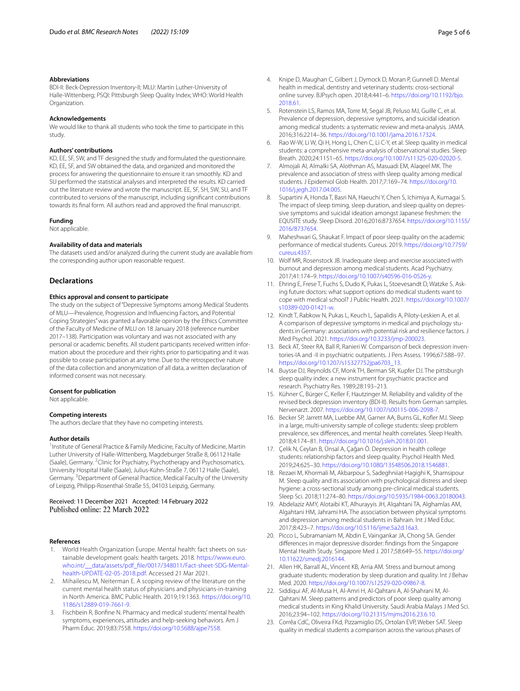#### **Abbreviations**

BDI-II: Beck-Depression Inventory-II; MLU: Martin Luther-University of Halle-Wittenberg; PSQI: Pittsburgh Sleep Quality Index; WHO: World Health Organization.

#### **Acknowledgements**

We would like to thank all students who took the time to participate in this study.

#### **Authors' contributions**

KD, EE, SF, SW, and TF designed the study and formulated the questionnaire. KD, EE, SF, and SW obtained the data, and organized and monitored the process for answering the questionnaire to ensure it ran smoothly. KD and SU performed the statistical analyses and interpreted the results. KD carried out the literature review and wrote the manuscript. EE, SF, SH, SW, SU, and TF contributed to versions of the manuscript, including signifcant contributions towards its fnal form. All authors read and approved the fnal manuscript.

#### **Funding**

Not applicable.

#### **Availability of data and materials**

The datasets used and/or analyzed during the current study are available from the corresponding author upon reasonable request.

# **Declarations**

#### **Ethics approval and consent to participate**

The study on the subject of "Depressive Symptoms among Medical Students of MLU—Prevalence, Progression and Infuencing Factors, and Potential Coping Strategies" was granted a favorable opinion by the Ethics Committee of the Faculty of Medicine of MLU on 18 January 2018 (reference number 2017–138). Participation was voluntary and was not associated with any personal or academic benefts. All student participants received written information about the procedure and their rights prior to participating and it was possible to cease participation at any time. Due to the retrospective nature of the data collection and anonymization of all data, a written declaration of informed consent was not necessary.

#### **Consent for publication**

Not applicable.

#### **Competing interests**

The authors declare that they have no competing interests.

#### **Author details**

<sup>1</sup> Institute of General Practice & Family Medicine, Faculty of Medicine, Martin Luther University of Halle-Wittenberg, Magdeburger Straße 8, 06112 Halle (Saale), Germany. <sup>2</sup> Clinic for Psychiatry, Psychotherapy and Psychosomatics, University Hospital Halle (Saale), Julius-Kühn-Straße 7, 06112 Halle (Saale), Germany. <sup>3</sup> Department of General Practice, Medical Faculty of the University of Leipzig, Philipp-Rosenthal-Straße 55, 04103 Leipzig, Germany.

# Received: 11 December 2021 Accepted: 14 February 2022

#### **References**

- <span id="page-4-0"></span>World Health Organization Europe. Mental health: fact sheets on sustainable development goals: health targets. 2018. [https://www.euro.](https://www.euro.who.int/__data/assets/pdf_file/0017/348011/Fact-sheet-SDG-Mental-health-UPDATE-02-05-2018.pdf) [who.int/\\_\\_data/assets/pdf\\_fle/0017/348011/Fact-sheet-SDG-Mental](https://www.euro.who.int/__data/assets/pdf_file/0017/348011/Fact-sheet-SDG-Mental-health-UPDATE-02-05-2018.pdf)[health-UPDATE-02-05-2018.pdf](https://www.euro.who.int/__data/assets/pdf_file/0017/348011/Fact-sheet-SDG-Mental-health-UPDATE-02-05-2018.pdf). Accessed 21 Mar 2021.
- <span id="page-4-1"></span>2. Mihailescu M, Neiterman E. A scoping review of the literature on the current mental health status of physicians and physicians-in-training in North America. BMC Public Health. 2019;19:1363. [https://doi.org/10.](https://doi.org/10.1186/s12889-019-7661-9) [1186/s12889-019-7661-9](https://doi.org/10.1186/s12889-019-7661-9).
- <span id="page-4-2"></span>3. Fischbein R, Bonfne N. Pharmacy and medical students' mental health symptoms, experiences, attitudes and help-seeking behaviors. Am J Pharm Educ. 2019;83:7558. <https://doi.org/10.5688/ajpe7558>.
- <span id="page-4-3"></span>4. Knipe D, Maughan C, Gilbert J, Dymock D, Moran P, Gunnell D. Mental health in medical, dentistry and veterinary students: cross-sectional online survey. BJPsych open. 2018;4:441–6. [https://doi.org/10.1192/bjo.](https://doi.org/10.1192/bjo.2018.61) [2018.61.](https://doi.org/10.1192/bjo.2018.61)
- <span id="page-4-4"></span>5. Rotenstein LS, Ramos MA, Torre M, Segal JB, Peluso MJ, Guille C, et al. Prevalence of depression, depressive symptoms, and suicidal ideation among medical students: a systematic review and meta-analysis. JAMA. 2016;316:2214–36. [https://doi.org/10.1001/jama.2016.17324.](https://doi.org/10.1001/jama.2016.17324)
- <span id="page-4-5"></span>Rao W-W, Li W, Qi H, Hong L, Chen C, Li C-Y, et al. Sleep quality in medical students: a comprehensive meta-analysis of observational studies. Sleep Breath. 2020;24:1151–65. [https://doi.org/10.1007/s11325-020-02020-5.](https://doi.org/10.1007/s11325-020-02020-5)
- <span id="page-4-6"></span>7. Almojali AI, Almalki SA, Alothman AS, Masuadi EM, Alaqeel MK. The prevalence and association of stress with sleep quality among medical students. J Epidemiol Glob Health. 2017;7:169–74. [https://doi.org/10.](https://doi.org/10.1016/j.jegh.2017.04.005) [1016/j.jegh.2017.04.005](https://doi.org/10.1016/j.jegh.2017.04.005).
- <span id="page-4-7"></span>Supartini A, Honda T, Basri NA, Haeuchi Y, Chen S, Ichimiya A, Kumagai S. The impact of sleep timing, sleep duration, and sleep quality on depressive symptoms and suicidal ideation amongst Japanese freshmen: the EQUSITE study. Sleep Disord. 2016;2016:8737654. [https://doi.org/10.1155/](https://doi.org/10.1155/2016/8737654) [2016/8737654.](https://doi.org/10.1155/2016/8737654)
- <span id="page-4-8"></span>9. Maheshwari G, Shaukat F. Impact of poor sleep quality on the academic performance of medical students. Cureus. 2019. [https://doi.org/10.7759/](https://doi.org/10.7759/cureus.4357) [cureus.4357](https://doi.org/10.7759/cureus.4357).
- <span id="page-4-9"></span>10. Wolf MR, Rosenstock JB. Inadequate sleep and exercise associated with burnout and depression among medical students. Acad Psychiatry. 2017;41:174–9. [https://doi.org/10.1007/s40596-016-0526-y.](https://doi.org/10.1007/s40596-016-0526-y)
- <span id="page-4-10"></span>11. Ehring E, Frese T, Fuchs S, Dudo K, Pukas L, Stoevesandt D, Watzke S. Asking future doctors: what support options do medical students want to cope with medical school? J Public Health. 2021. [https://doi.org/10.1007/](https://doi.org/10.1007/s10389-020-01421-w) [s10389-020-01421-w.](https://doi.org/10.1007/s10389-020-01421-w)
- <span id="page-4-11"></span>12. Kindt T, Rabkow N, Pukas L, Keuch L, Sapalidis A, Piloty-Leskien A, et al. A comparison of depressive symptoms in medical and psychology students in Germany: associations with potential risk and resilience factors. J Med Psychol. 2021.<https://doi.org/10.3233/jmp-200023>.
- <span id="page-4-12"></span>13. Beck AT, Steer RA, Ball R, Ranieri W. Comparison of beck depression inventories-IA and -II in psychiatric outpatients. J Pers Assess. 1996;67:588–97. [https://doi.org/10.1207/s15327752jpa6703\\_13.](https://doi.org/10.1207/s15327752jpa6703_13)
- <span id="page-4-13"></span>14. Buysse DJ, Reynolds CF, Monk TH, Berman SR, Kupfer DJ. The pittsburgh sleep quality index: a new instrument for psychiatric practice and research. Psychiatry Res. 1989;28:193–213.
- <span id="page-4-14"></span>15. Kühner C, Bürger C, Keller F, Hautzinger M. Reliability and validity of the revised beck depression inventory (BDI-II). Results from German samples. Nervenarzt. 2007.<https://doi.org/10.1007/s00115-006-2098-7>.
- <span id="page-4-15"></span>16. Becker SP, Jarrett MA, Luebbe AM, Garner AA, Burns GL, Kofler MJ. Sleep in a large, multi-university sample of college students: sleep problem prevalence, sex diferences, and mental health correlates. Sleep Health. 2018;4:174–81. <https://doi.org/10.1016/j.sleh.2018.01.001>.
- 17. Çelik N, Ceylan B, Ünsal A, Çağan Ö. Depression in health college students: relationship factors and sleep quality. Psychol Health Med. 2019;24:625–30.<https://doi.org/10.1080/13548506.2018.1546881>.
- <span id="page-4-16"></span>18. Rezaei M, Khormali M, Akbarpour S, Sadeghniiat-Hagighi K, Shamsipour M. Sleep quality and its association with psychological distress and sleep hygiene: a cross-sectional study among pre-clinical medical students. Sleep Sci. 2018;11:274–80. [https://doi.org/10.5935/1984-0063.20180043.](https://doi.org/10.5935/1984-0063.20180043)
- <span id="page-4-17"></span>19. Abdelaziz AMY, Alotaibi KT, Alhurayyis JH, Alqahtani TA, Alghamlas AM, Algahtani HM, Jahrami HA. The association between physical symptoms and depression among medical students in Bahrain. Int J Med Educ. 2017;8:423–7. <https://doi.org/10.5116/ijme.5a2d.16a3>.
- <span id="page-4-18"></span>20. Picco L, Subramaniam M, Abdin E, Vaingankar JA, Chong SA. Gender diferences in major depressive disorder: fndings from the Singapore Mental Health Study. Singapore Med J. 2017;58:649–55. [https://doi.org/](https://doi.org/10.11622/smedj.2016144) [10.11622/smedj.2016144](https://doi.org/10.11622/smedj.2016144).
- <span id="page-4-19"></span>21. Allen HK, Barrall AL, Vincent KB, Arria AM. Stress and burnout among graduate students: moderation by sleep duration and quality. Int J Behav Med. 2020. <https://doi.org/10.1007/s12529-020-09867-8>.
- <span id="page-4-20"></span>22. Siddiqui AF, Al-Musa H, Al-Amri H, Al-Qahtani A, Al-Shahrani M, Al-Qahtani M. Sleep patterns and predictors of poor sleep quality among medical students in King Khalid University. Saudi Arabia Malays J Med Sci. 2016;23:94–102.<https://doi.org/10.21315/mjms2016.23.6.10>.
- <span id="page-4-21"></span>23. Corrêa CdC, Oliveira FKd, Pizzamiglio DS, Ortolan EVP, Weber SAT. Sleep quality in medical students a comparison across the various phases of